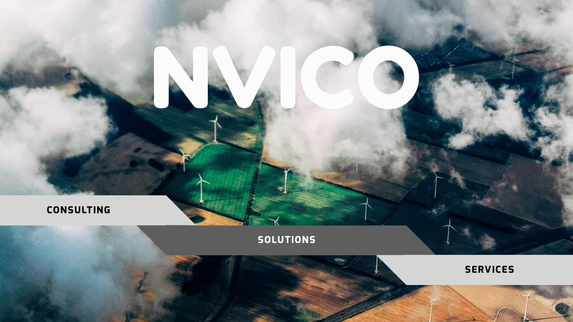## **CONSULTING**





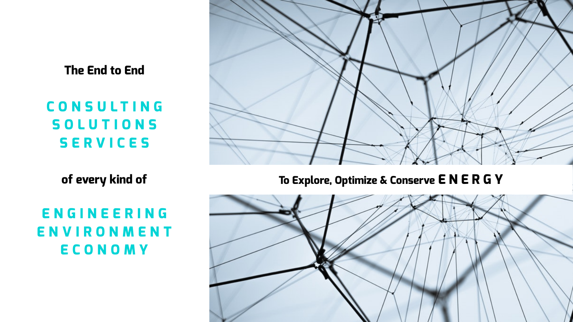## **The End to End**

**CONSULTING SOLUTIONS SERVICES**

**of every kind of** 

**ENGINEERING ENVIRONMENT ECONOMY** 





## **To Explore, Optimize & Conserve E N E R G Y**

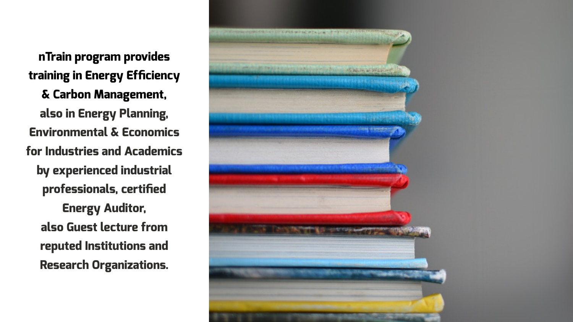**nTrain program provides training in Energy Efficiency & Carbon Management, also in Energy Planning, Environmental & Economics for Industries and Academics by experienced industrial professionals, certified Energy Auditor, also Guest lecture from reputed Institutions and Research Organizations.**

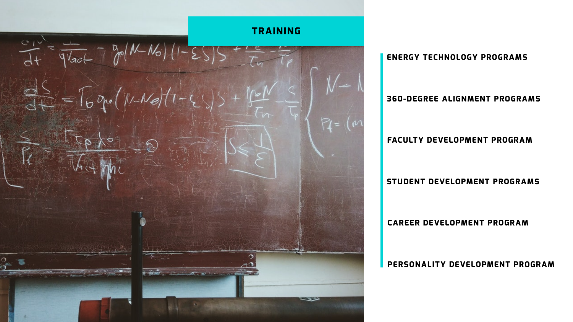## **ENERGY TECHNOLOGY PROGRAMS**

## **FACULTY DEVELOPMENT PROGRAM**

## **STUDENT DEVELOPMENT PROGRAMS**

## **360-DEGREE ALIGNMENT PROGRAMS**

## **CAREER DEVELOPMENT PROGRAM**

### **PERSONALITY DEVELOPMENT PROGRAM**



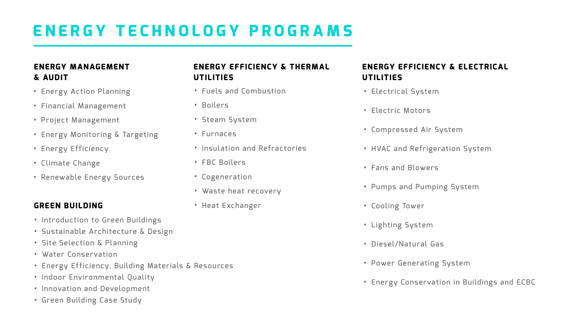# **ENERGY TECHNOLOGY PROGRAMS**

## **ENERGY MANAGEMENT & AUDIT**

## **ENERGY EFFICIEN UTILITIES**

- Energy Action Planning
- Financial Management
- Project Management
- Energy Monitoring & Targeting
- Energy Efficiency
- Climate Change
- Renewable Energy Sources
- · Fuels and Combus
- Boilers
- Steam System
- Furnaces
- · Insulation and Re
- FBC Boilers
- Cogeneration
- Waste heat recov
- Heat Exchanger

| <b>CY &amp; THERMAL</b> | <b>ENERGY EFFICIENCY &amp; ELECTRICAL</b><br><b>UTILITIES</b> |
|-------------------------|---------------------------------------------------------------|
| stion                   | • Electrical System                                           |
|                         | · Electric Motors                                             |
|                         | • Compressed Air System                                       |
| fractories              | . HVAC and Refrigeration System                               |
|                         | • Fans and Blowers                                            |
| /ery                    | . Pumps and Pumping System                                    |
|                         | • Cooling Tower                                               |
|                         | • Lighting System                                             |
|                         | • Diesel/Natural Gas                                          |
|                         | • Power Generating System                                     |

• Energy Conservation in Buildings and ECBC

## **GREEN BUILDING**

- Introduction to Green Buildings
- Sustainable Architecture & Design
- Site Selection & Planning
- Water Conservation
- Energy Efficiency, Building Materials & Resources
- Indoor Environmental Quality
- Innovation and Development
- Green Building Case Study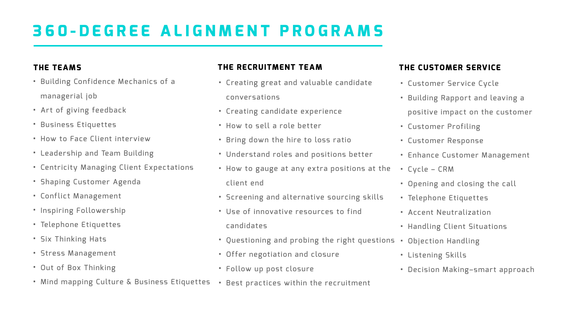# **360-DEGREE ALIGNMENT PROGRAMS**

### **THE TEAMS** • Building Confidence Mechanics of a managerial job • Art of giving feedback • Business Etiquettes • How to Face Client interview • Leadership and Team Building • Centricity Managing Client Expectations • Shaping Customer Agenda • Conflict Management • Inspiring Followership • Telephone Etiquettes • Six Thinking Hats • Stress Management • Out of Box Thinking **THE RECRUITMENT TEAM** • Creating great and valuable candidate conversations • Creating candidate experience • How to sell a role better • Bring down the hire to loss ratio client end • Use of innovative resources to find candidates • Offer negotiation and closure • Follow up post closure

- 
- 
- 
- 
- 
- Understand roles and positions better
- How to gauge at any extra positions at the
- Screening and alternative sourcing skills
- Questioning and probing the right questions Objection Handling
	-
- Mind mapping Culture & Business Etiquettes Best practices within the recruitment

## **THE CUSTOMER SERVICE**

- Customer Service Cycle
- Building Rapport and leaving a positive impact on the customer
- Customer Profiling
- Customer Response
- Enhance Customer Management
- Cycle CRM
- Opening and closing the call
- Telephone Etiquettes
- Accent Neutralization
- Handling Client Situations
- 
- Listening Skills
- Decision Making–smart approach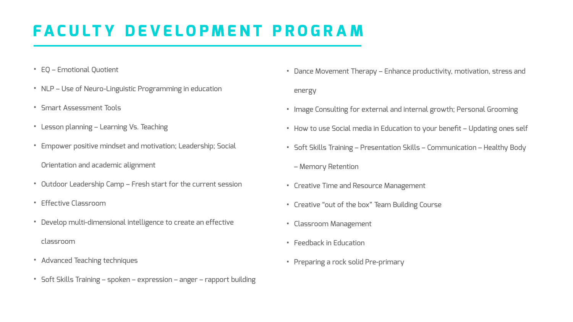## **FACULTY DEVELOPMENT PROGRAM**

- EQ Emotional Quotient
- NLP Use of Neuro-Linguistic Programming in education
- Smart Assessment Tools
- Lesson planning Learning Vs. Teaching
- Empower positive mindset and motivation; Leadership; Social Orientation and academic alignment
- Outdoor Leadership Camp Fresh start for the current session
- Effective Classroom
- Develop multi-dimensional intelligence to create an effective
	- classroom
- Advanced Teaching techniques
- Soft Skills Training spoken expression anger rapport building

- Dance Movement Therapy Enhance productivity, motivation, stress and energy
- Image Consulting for external and internal growth; Personal Grooming
- How to use Social media in Education to your benefit Updating ones self
- Soft Skills Training Presentation Skills Communication Healthy Body
	- Memory Retention
- Creative Time and Resource Management
- Creative "out of the box" Team Building Course
- Classroom Management
- Feedback in Education
- Preparing a rock solid Pre-primary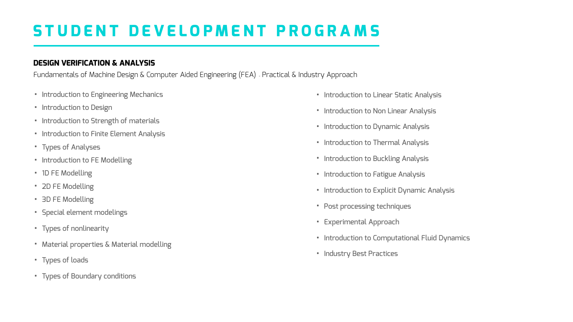## **STUDENT DEVELOPMENT PROGRAMS**

## **DESIGN VERIFICATION & ANALYSIS**

- Introduction to Engineering Mechanics
- Introduction to Design
- Introduction to Strength of materials
- Introduction to Finite Element Analysis
- Types of Analyses
- Introduction to FE Modelling
- 1D FE Modelling
- 2D FE Modelling
- 3D FE Modelling
- Special element modelings
- Types of nonlinearity
- Material properties & Material modelling
- Types of loads
- Types of Boundary conditions

- Introduction to Linear Static Analysis
- Introduction to Non Linear Analysis
- Introduction to Dynamic Analysis
- Introduction to Thermal Analysis
- Introduction to Buckling Analysis
- Introduction to Fatigue Analysis
- Introduction to Explicit Dynamic Analysis
- Post processing techniques
- Experimental Approach
- Introduction to Computational Fluid Dynamics
- Industry Best Practices

Fundamentals of Machine Design & Computer Aided Engineering (FEA) - Practical & Industry Approach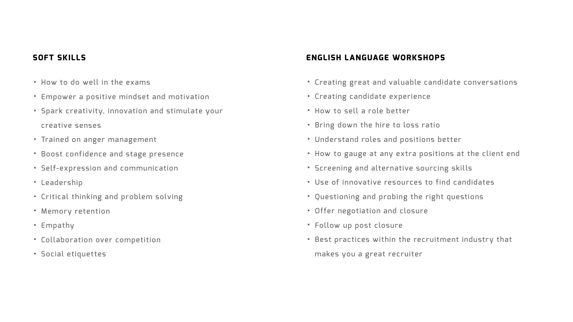## **SOFT SKILLS**

- How to do well in the exams
- Empower a positive mindset and motivation
- Spark creativity, innovation and stimulate your creative senses
- Trained on anger management
- Boost confidence and stage presence
- Self-expression and communication
- Leadership
- Critical thinking and problem solving
- Memory retention
- Empathy
- Collaboration over competition
- Social etiquettes

## **ENGLISH LANGUAGE WORKSHOPS**

- Creating great and valuable candidate conversations
- Creating candidate experience
- How to sell a role better
- Bring down the hire to loss ratio
- Understand roles and positions better
- How to gauge at any extra positions at the client end
- Screening and alternative sourcing skills
- Use of innovative resources to find candidates
- Questioning and probing the right questions
- Offer negotiation and closure
- Follow up post closure
- Best practices within the recruitment industry that makes you a great recruiter